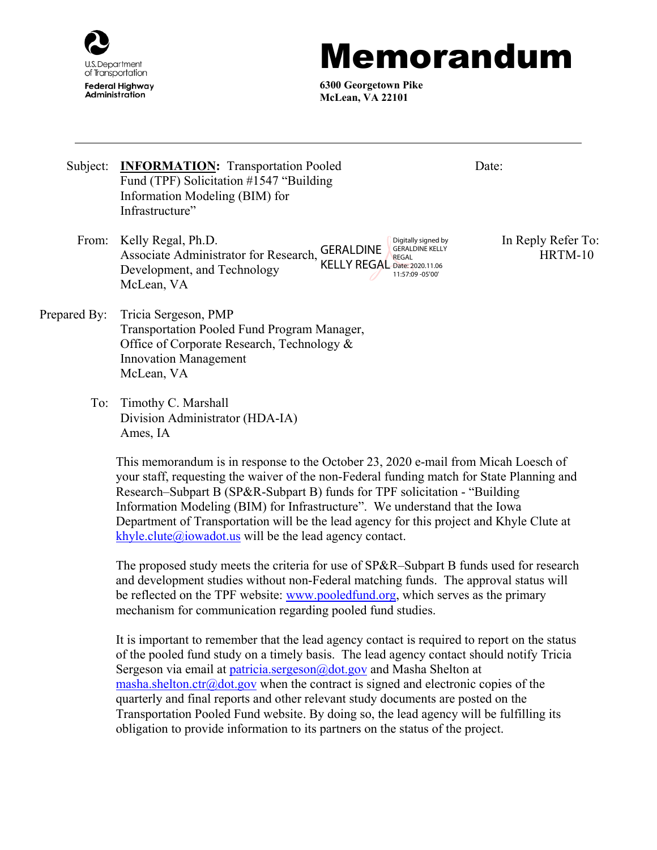

## Memorandum

Date:

**6300 Georgetown Pike McLean, VA 22101**

- Subject: **INFORMATION:** Transportation Pooled Fund (TPF) Solicitation #1547 "Building Information Modeling (BIM) for Infrastructure"
	- From: Kelly Regal, Ph.D. **In Reply Refer To:** CERAL BILE Digitally signed by In Reply Refer To: Associate Administrator for Research, GERALDINE Development, and Technology McLean, VA KELLY REGAL Date: 2020.11.06 Digitally signed by GERALDINE KELLY REGAL 11:57:09 -05'00'

HRTM-10

- Prepared By: Tricia Sergeson, PMP Transportation Pooled Fund Program Manager, Office of Corporate Research, Technology & Innovation Management McLean, VA
	- To: Timothy C. Marshall Division Administrator (HDA-IA) Ames, IA

This memorandum is in response to the October 23, 2020 e-mail from Micah Loesch of your staff, requesting the waiver of the non-Federal funding match for State Planning and Research–Subpart B (SP&R-Subpart B) funds for TPF solicitation - "Building Information Modeling (BIM) for Infrastructure". We understand that the Iowa Department of Transportation will be the lead agency for this project and Khyle Clute at [khyle.clute@iowadot.us](mailto:khyle.clute@iowadot.us) will be the lead agency contact.

The proposed study meets the criteria for use of SP&R–Subpart B funds used for research and development studies without non-Federal matching funds. The approval status will be reflected on the TPF website: [www.pooledfund.org,](http://www.pooledfund.org/) which serves as the primary mechanism for communication regarding pooled fund studies.

It is important to remember that the lead agency contact is required to report on the status of the pooled fund study on a timely basis. The lead agency contact should notify Tricia Sergeson via email at [patricia.sergeson@dot.gov](mailto:patricia.sergeson@dot.gov) and Masha Shelton at [masha.shelton.ctr@dot.gov](mailto:masha.shelton.ctr@dot.gov) when the contract is signed and electronic copies of the quarterly and final reports and other relevant study documents are posted on the Transportation Pooled Fund website. By doing so, the lead agency will be fulfilling its obligation to provide information to its partners on the status of the project.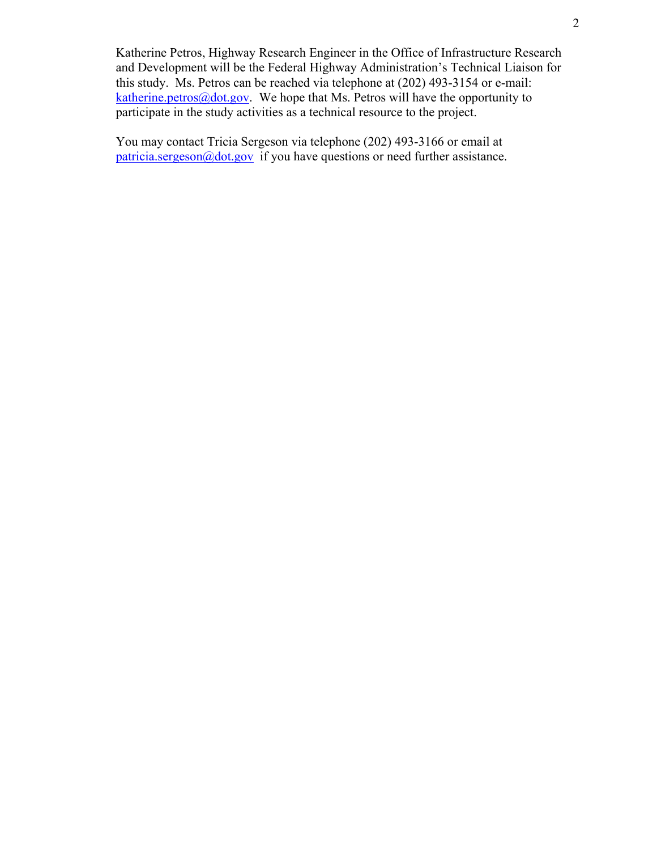Katherine Petros, Highway Research Engineer in the Office of Infrastructure Research and Development will be the Federal Highway Administration's Technical Liaison for this study. Ms. Petros can be reached via telephone at (202) 493-3154 or e-mail: [katherine.petros@dot.gov.](mailto:katherine.petros@dot.gov) We hope that Ms. Petros will have the opportunity to participate in the study activities as a technical resource to the project.

You may contact Tricia Sergeson via telephone (202) 493-3166 or email at  $particia.sergeson@dot.gov$  if you have questions or need further assistance.